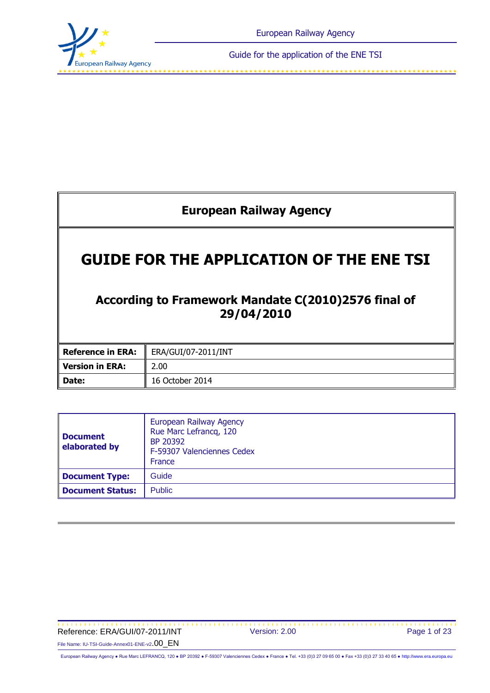

فالمناول والمستحقق والمستحقق والمستحقق والمستحقق والمستحقق والمستحقة والمستحقة والمستحقة والمتعاد والمتقارب المتقارب المتقارب

# **European Railway Agency**

# **GUIDE FOR THE APPLICATION OF THE ENE TSI**

## **According to Framework Mandate C(2010)2576 final of 29/04/2010**

|                 | <b>Reference in ERA:</b> FRA/GUI/07-2011/INT |  |  |
|-----------------|----------------------------------------------|--|--|
| Version in ERA: | 2.00                                         |  |  |
| Date:           | 16 October 2014                              |  |  |

| <b>Document</b><br>elaborated by         | European Railway Agency<br>Rue Marc Lefrancq, 120<br>BP 20392<br>F-59307 Valenciennes Cedex<br>France |  |  |
|------------------------------------------|-------------------------------------------------------------------------------------------------------|--|--|
| <b>Document Type:</b>                    | Guide                                                                                                 |  |  |
| <b>Document Status:</b><br><b>Public</b> |                                                                                                       |  |  |

#### Reference: ERA/GUI/07-2011/INT Version: 2.00 Page 1 of 23 File Name: IU-TSI-Guide-Annex01-ENE-v2.00\_EN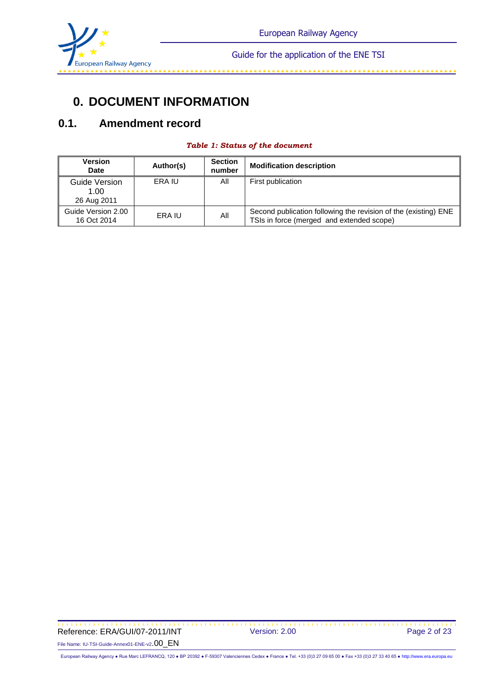

#### 

## **0. DOCUMENT INFORMATION**

## **0.1. Amendment record**

| <b>Table 1: Status of the document</b> |  |
|----------------------------------------|--|
|----------------------------------------|--|

| <b>Version</b><br><b>Date</b>        | Author(s) | <b>Section</b><br>number | <b>Modification description</b>                                                                              |
|--------------------------------------|-----------|--------------------------|--------------------------------------------------------------------------------------------------------------|
| Guide Version<br>1.00<br>26 Aug 2011 | ERA IU    | All                      | First publication                                                                                            |
| Guide Version 2.00<br>16 Oct 2014    | ERA IU    | All                      | Second publication following the revision of the (existing) ENE<br>TSIs in force (merged and extended scope) |

 Reference: ERA/GUI/07-2011/INT Version: 2.00 File Name: IU-TSI-Guide-Annex01-ENE-v2.00\_EN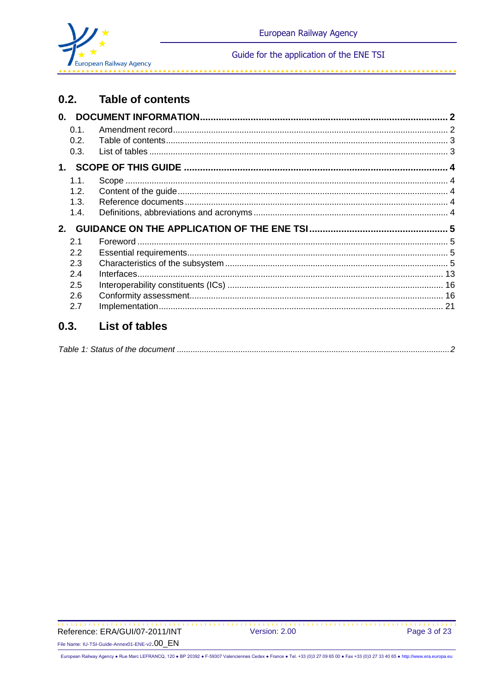

والمقامط مقامقا مقامقا مناو

#### $0.2.$ **Table of contents**

| 0.1. |  |
|------|--|
| 0.2. |  |
| 0.3. |  |
|      |  |
| 1.1. |  |
| 1.2. |  |
| 1.3. |  |
| 1.4. |  |
|      |  |
|      |  |
| 2.1  |  |
| 2.2  |  |
| 2.3  |  |
| 2.4  |  |
| 2.5  |  |
| 2.6  |  |
| 2.7  |  |

#### **List of tables**  $0.3.$

|--|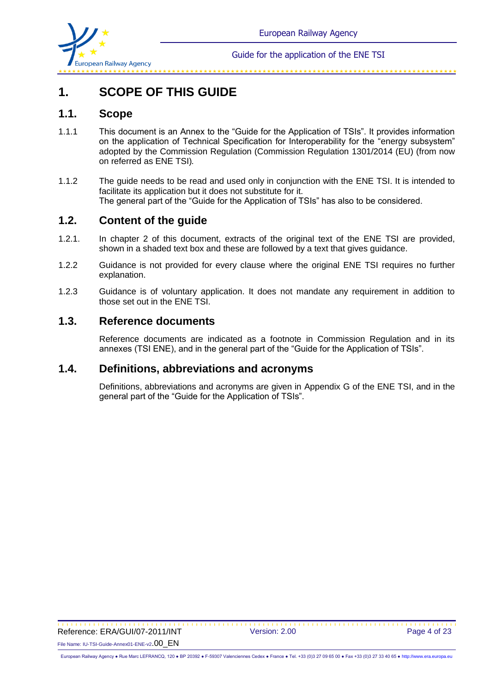

# **1. SCOPE OF THIS GUIDE**

#### **1.1. Scope**

- 1.1.1 This document is an Annex to the "Guide for the Application of TSIs". It provides information on the application of Technical Specification for Interoperability for the "energy subsystem" adopted by the Commission Regulation (Commission Regulation 1301/2014 (EU) (from now on referred as ENE TSI)*.*
- 1.1.2 The guide needs to be read and used only in conjunction with the ENE TSI. It is intended to facilitate its application but it does not substitute for it. The general part of the "Guide for the Application of TSIs" has also to be considered.

### **1.2. Content of the guide**

- 1.2.1. In chapter 2 of this document, extracts of the original text of the ENE TSI are provided, shown in a shaded text box and these are followed by a text that gives guidance.
- 1.2.2 Guidance is not provided for every clause where the original ENE TSI requires no further explanation.
- 1.2.3 Guidance is of voluntary application. It does not mandate any requirement in addition to those set out in the ENE TSI.

## **1.3. Reference documents**

Reference documents are indicated as a footnote in Commission Regulation and in its annexes (TSI ENE), and in the general part of the "Guide for the Application of TSIs".

### **1.4. Definitions, abbreviations and acronyms**

Definitions, abbreviations and acronyms are given in Appendix G of the ENE TSI, and in the general part of the "Guide for the Application of TSIs".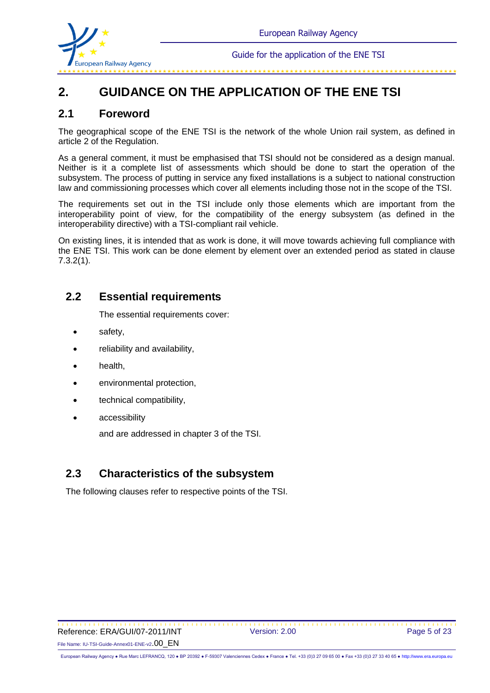

فتراحك المتراحك المتراحك المتراحك المتراحك المتراحك المتراحك المتراحك المتراحك المتراحك المتراحك المتراحك المتراحك

# **2. GUIDANCE ON THE APPLICATION OF THE ENE TSI**

#### **2.1 Foreword**

The geographical scope of the ENE TSI is the network of the whole Union rail system, as defined in article 2 of the Regulation.

As a general comment, it must be emphasised that TSI should not be considered as a design manual. Neither is it a complete list of assessments which should be done to start the operation of the subsystem. The process of putting in service any fixed installations is a subject to national construction law and commissioning processes which cover all elements including those not in the scope of the TSI.

The requirements set out in the TSI include only those elements which are important from the interoperability point of view, for the compatibility of the energy subsystem (as defined in the interoperability directive) with a TSI-compliant rail vehicle.

On existing lines, it is intended that as work is done, it will move towards achieving full compliance with the ENE TSI. This work can be done element by element over an extended period as stated in clause 7.3.2(1).

### **2.2 Essential requirements**

The essential requirements cover:

- safety,
- reliability and availability,
- health,
- environmental protection,
- technical compatibility,
- accessibility

and are addressed in chapter 3 of the TSI.

## **2.3 Characteristics of the subsystem**

The following clauses refer to respective points of the TSI.

 Reference: ERA/GUI/07-2011/INT Version: 2.00 Page 5 of 23 File Name: IU-TSI-Guide-Annex01-ENE-v2.00\_EN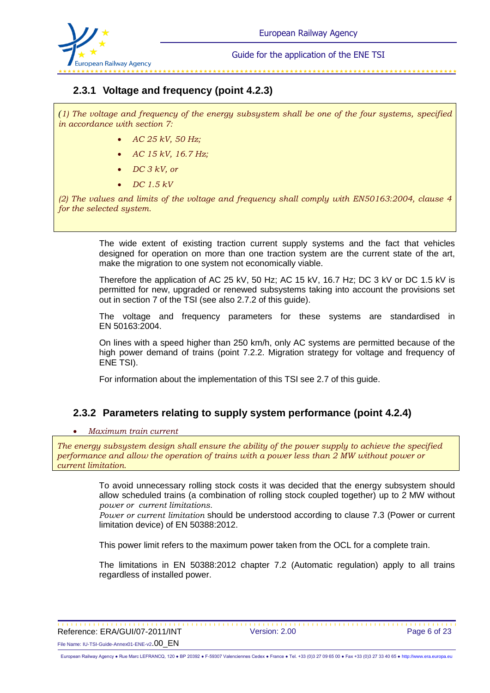

### **2.3.1 Voltage and frequency (point 4.2.3)**

*(1) The voltage and frequency of the energy subsystem shall be one of the four systems, specified in accordance with section 7:* 

- *AC 25 kV, 50 Hz;*
- *AC 15 kV, 16.7 Hz;*
- *DC 3 kV, or*
- *DC 1.5 kV*

*(2) The values and limits of the voltage and frequency shall comply with EN50163:2004, clause 4 for the selected system.*

> The wide extent of existing traction current supply systems and the fact that vehicles designed for operation on more than one traction system are the current state of the art, make the migration to one system not economically viable.

> Therefore the application of AC 25 kV, 50 Hz; AC 15 kV, 16.7 Hz; DC 3 kV or DC 1.5 kV is permitted for new, upgraded or renewed subsystems taking into account the provisions set out in section 7 of the TSI (see also 2.7.2 of this guide).

> The voltage and frequency parameters for these systems are standardised in EN 50163:2004.

> On lines with a speed higher than 250 km/h, only AC systems are permitted because of the high power demand of trains (point 7.2.2. Migration strategy for voltage and frequency of ENE TSI).

For information about the implementation of this TSI see 2.7 of this guide.

### **2.3.2 Parameters relating to supply system performance (point 4.2.4)**

#### *Maximum train current*

*The energy subsystem design shall ensure the ability of the power supply to achieve the specified performance and allow the operation of trains with a power less than 2 MW without power or current limitation.*

> To avoid unnecessary rolling stock costs it was decided that the energy subsystem should allow scheduled trains (a combination of rolling stock coupled together) up to 2 MW without *power or current limitations.*

> *Power or current limitation* should be understood according to clause 7.3 (Power or current limitation device) of EN 50388:2012.

This power limit refers to the maximum power taken from the OCL for a complete train.

The limitations in EN 50388:2012 chapter 7.2 (Automatic regulation) apply to all trains regardless of installed power.

\*\*\*\*\*\*\*\*\*\*\*\*\*\*\*\*\*\*\* Reference: ERA/GUI/07-2011/INT Version: 2.00 Page 6 of 23 File Name: IU-TSI-Guide-Annex01-ENE-v2.00\_EN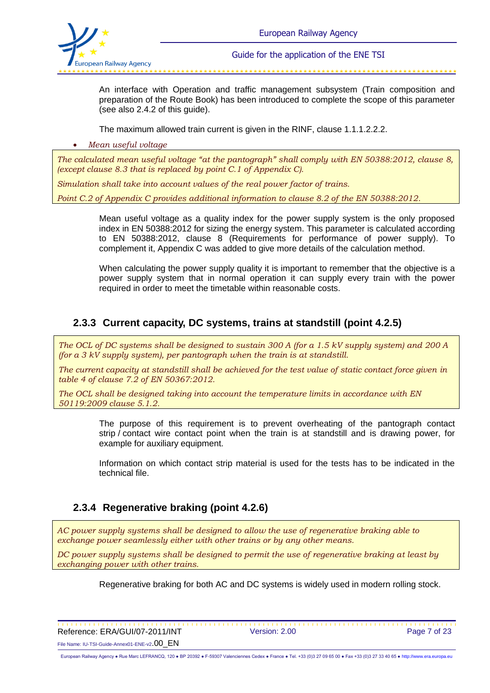

An interface with Operation and traffic management subsystem (Train composition and preparation of the Route Book) has been introduced to complete the scope of this parameter (see also 2.4.2 of this guide).

The maximum allowed train current is given in the RINF, clause 1.1.1.2.2.2.

*Mean useful voltage*

*The calculated mean useful voltage "at the pantograph" shall comply with EN 50388:2012, clause 8, (except clause 8.3 that is replaced by point C.1 of Appendix C).*

*Simulation shall take into account values of the real power factor of trains.* 

*Point C.2 of Appendix C provides additional information to clause 8.2 of the EN 50388:2012.*

Mean useful voltage as a quality index for the power supply system is the only proposed index in EN 50388:2012 for sizing the energy system. This parameter is calculated according to EN 50388:2012, clause 8 (Requirements for performance of power supply). To complement it, Appendix C was added to give more details of the calculation method.

When calculating the power supply quality it is important to remember that the objective is a power supply system that in normal operation it can supply every train with the power required in order to meet the timetable within reasonable costs.

## **2.3.3 Current capacity, DC systems, trains at standstill (point 4.2.5)**

*The OCL of DC systems shall be designed to sustain 300 A (for a 1.5 kV supply system) and 200 A (for a 3 kV supply system), per pantograph when the train is at standstill.*

*The current capacity at standstill shall be achieved for the test value of static contact force given in table 4 of clause 7.2 of EN 50367:2012.* 

*The OCL shall be designed taking into account the temperature limits in accordance with EN 50119:2009 clause 5.1.2.*

> The purpose of this requirement is to prevent overheating of the pantograph contact strip / contact wire contact point when the train is at standstill and is drawing power, for example for auxiliary equipment.

> Information on which contact strip material is used for the tests has to be indicated in the technical file.

## **2.3.4 Regenerative braking (point 4.2.6)**

*AC power supply systems shall be designed to allow the use of regenerative braking able to exchange power seamlessly either with other trains or by any other means.*

*DC power supply systems shall be designed to permit the use of regenerative braking at least by exchanging power with other trains.*

Regenerative braking for both AC and DC systems is widely used in modern rolling stock.

\*\*\*\*\*\*\*\*\*\*\* Reference: ERA/GUI/07-2011/INT Version: 2.00 Page 7 of 23 File Name: IU-TSI-Guide-Annex01-ENE-v2.00\_EN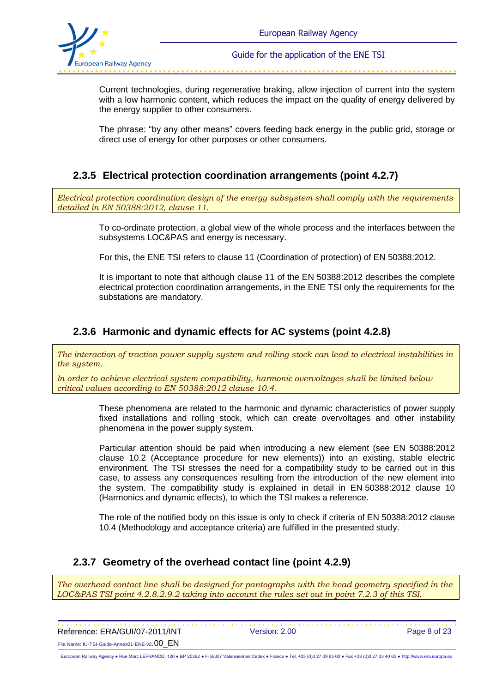

Current technologies, during regenerative braking, allow injection of current into the system with a low harmonic content, which reduces the impact on the quality of energy delivered by the energy supplier to other consumers.

The phrase: "by any other means" covers feeding back energy in the public grid, storage or direct use of energy for other purposes or other consumers.

### **2.3.5 Electrical protection coordination arrangements (point 4.2.7)**

*Electrical protection coordination design of the energy subsystem shall comply with the requirements detailed in EN 50388:2012, clause 11.*

> To co-ordinate protection, a global view of the whole process and the interfaces between the subsystems LOC&PAS and energy is necessary.

For this, the ENE TSI refers to clause 11 (Coordination of protection) of EN 50388:2012.

It is important to note that although clause 11 of the EN 50388:2012 describes the complete electrical protection coordination arrangements, in the ENE TSI only the requirements for the substations are mandatory.

### **2.3.6 Harmonic and dynamic effects for AC systems (point 4.2.8)**

*The interaction of traction power supply system and rolling stock can lead to electrical instabilities in the system.*

*In order to achieve electrical system compatibility, harmonic overvoltages shall be limited below critical values according to EN 50388:2012 clause 10.4.* 

> These phenomena are related to the harmonic and dynamic characteristics of power supply fixed installations and rolling stock, which can create overvoltages and other instability phenomena in the power supply system.

> Particular attention should be paid when introducing a new element (see EN 50388:2012 clause 10.2 (Acceptance procedure for new elements)) into an existing, stable electric environment. The TSI stresses the need for a compatibility study to be carried out in this case, to assess any consequences resulting from the introduction of the new element into the system. The compatibility study is explained in detail in EN 50388:2012 clause 10 (Harmonics and dynamic effects), to which the TSI makes a reference.

> The role of the notified body on this issue is only to check if criteria of EN 50388:2012 clause 10.4 (Methodology and acceptance criteria) are fulfilled in the presented study.

### **2.3.7 Geometry of the overhead contact line (point 4.2.9)**

*The overhead contact line shall be designed for pantographs with the head geometry specified in the LOC&PAS TSI point 4.2.8.2.9.2 taking into account the rules set out in point 7.2.3 of this TSI.*

 Reference: ERA/GUI/07-2011/INT Version: 2.00 Page 8 of 23 File Name: IU-TSI-Guide-Annex01-ENE-v2.00\_EN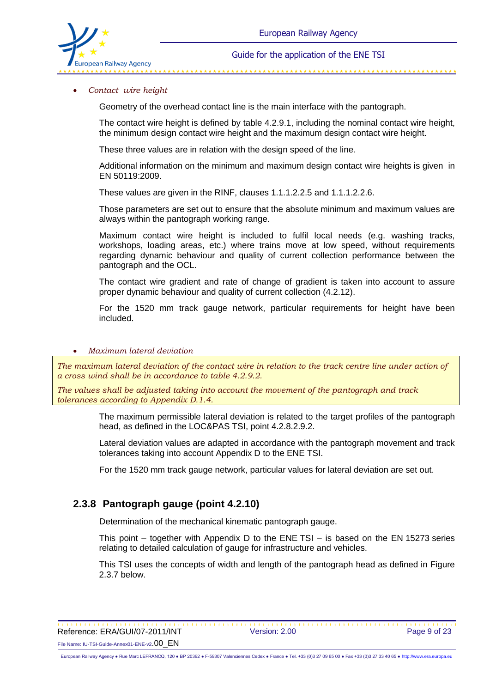

#### *Contact wire height*

Geometry of the overhead contact line is the main interface with the pantograph.

The contact wire height is defined by table 4.2.9.1, including the nominal contact wire height, the minimum design contact wire height and the maximum design contact wire height.

These three values are in relation with the design speed of the line.

Additional information on the minimum and maximum design contact wire heights is given in EN 50119:2009.

These values are given in the RINF, clauses 1.1.1.2.2.5 and 1.1.1.2.2.6.

Those parameters are set out to ensure that the absolute minimum and maximum values are always within the pantograph working range.

Maximum contact wire height is included to fulfil local needs (e.g. washing tracks, workshops, loading areas, etc.) where trains move at low speed, without requirements regarding dynamic behaviour and quality of current collection performance between the pantograph and the OCL.

The contact wire gradient and rate of change of gradient is taken into account to assure proper dynamic behaviour and quality of current collection (4.2.12).

For the 1520 mm track gauge network, particular requirements for height have been included.

#### *Maximum lateral deviation*

*The maximum lateral deviation of the contact wire in relation to the track centre line under action of a cross wind shall be in accordance to table 4.2.9.2.*

*The values shall be adjusted taking into account the movement of the pantograph and track tolerances according to Appendix D.1.4.*

> The maximum permissible lateral deviation is related to the target profiles of the pantograph head, as defined in the LOC&PAS TSI, point 4.2.8.2.9.2.

> Lateral deviation values are adapted in accordance with the pantograph movement and track tolerances taking into account Appendix D to the ENE TSI.

For the 1520 mm track gauge network, particular values for lateral deviation are set out.

#### **2.3.8 Pantograph gauge (point 4.2.10)**

Determination of the mechanical kinematic pantograph gauge.

This point – together with Appendix D to the ENE TSI – is based on the EN 15273 series relating to detailed calculation of gauge for infrastructure and vehicles.

This TSI uses the concepts of width and length of the pantograph head as defined in Figure 2.3.7 below.

\*\*\*\*\*\*\*\*\*\*\*\*\*\*\*\*\*\*\*\*\*\*\*\*\*\*\* Reference: ERA/GUI/07-2011/INT Version: 2.00 Page 9 of 23 File Name: IU-TSI-Guide-Annex01-ENE-v2.00\_EN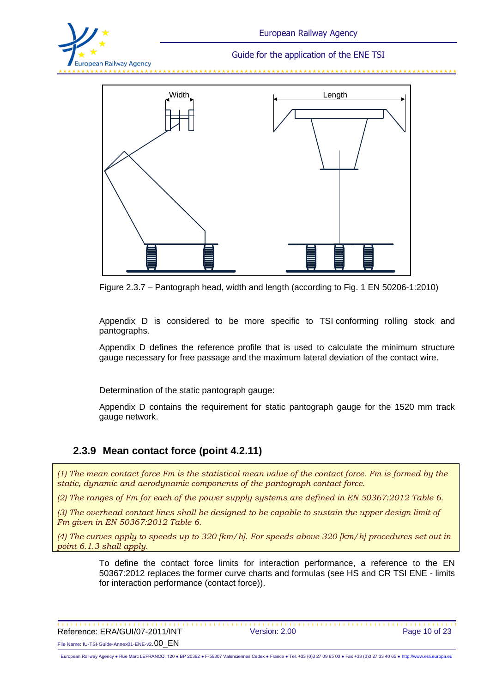



Figure 2.3.7 – Pantograph head, width and length (according to Fig. 1 EN 50206-1:2010)

Appendix D is considered to be more specific to TSI conforming rolling stock and pantographs.

Appendix D defines the reference profile that is used to calculate the minimum structure gauge necessary for free passage and the maximum lateral deviation of the contact wire.

Determination of the static pantograph gauge:

Appendix D contains the requirement for static pantograph gauge for the 1520 mm track gauge network.

#### **2.3.9 Mean contact force (point 4.2.11)**

*(1) The mean contact force Fm is the statistical mean value of the contact force. Fm is formed by the static, dynamic and aerodynamic components of the pantograph contact force.*

*(2) The ranges of Fm for each of the power supply systems are defined in EN 50367:2012 Table 6.*

*(3) The overhead contact lines shall be designed to be capable to sustain the upper design limit of Fm given in EN 50367:2012 Table 6.*

*(4) The curves apply to speeds up to 320 [km/h]. For speeds above 320 [km/h] procedures set out in point 6.1.3 shall apply.*

> To define the contact force limits for interaction performance, a reference to the EN 50367:2012 replaces the former curve charts and formulas (see HS and CR TSI ENE - limits for interaction performance (contact force)).

 Reference: ERA/GUI/07-2011/INT Version: 2.00 Page 10 of 23 File Name: IU-TSI-Guide-Annex01-ENE-v2.00\_EN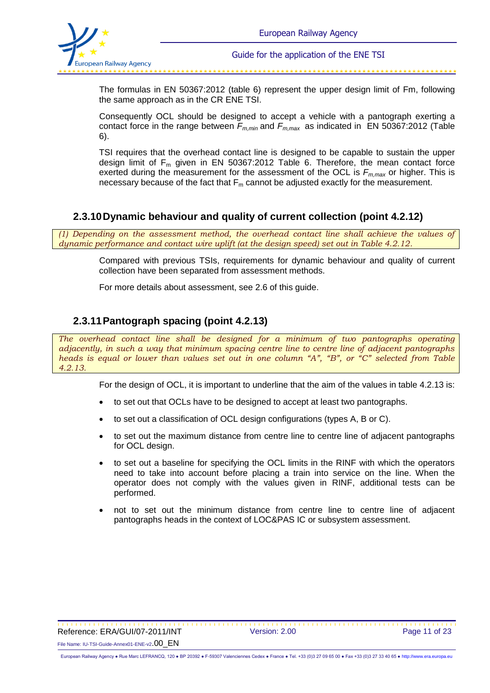

The formulas in EN 50367:2012 (table 6) represent the upper design limit of Fm, following the same approach as in the CR ENE TSI.

Consequently OCL should be designed to accept a vehicle with a pantograph exerting a contact force in the range between *Fm,min* and *Fm,max* as indicated in EN 50367:2012 (Table 6).

TSI requires that the overhead contact line is designed to be capable to sustain the upper design limit of  $F_m$  given in EN 50367:2012 Table 6. Therefore, the mean contact force exerted during the measurement for the assessment of the OCL is *Fm,max* or higher. This is necessary because of the fact that  $F_m$  cannot be adjusted exactly for the measurement.

#### **2.3.10Dynamic behaviour and quality of current collection (point 4.2.12)**

*(1) Depending on the assessment method, the overhead contact line shall achieve the values of dynamic performance and contact wire uplift (at the design speed) set out in Table 4.2.12.*

> Compared with previous TSIs, requirements for dynamic behaviour and quality of current collection have been separated from assessment methods.

For more details about assessment, see 2.6 of this guide.

### **2.3.11Pantograph spacing (point 4.2.13)**

*The overhead contact line shall be designed for a minimum of two pantographs operating adjacently, in such a way that minimum spacing centre line to centre line of adjacent pantographs heads is equal or lower than values set out in one column "A", "B", or "C" selected from Table 4.2.13.*

For the design of OCL, it is important to underline that the aim of the values in table 4.2.13 is:

- to set out that OCLs have to be designed to accept at least two pantographs.
- to set out a classification of OCL design configurations (types A, B or C).
- to set out the maximum distance from centre line to centre line of adjacent pantographs for OCL design.
- to set out a baseline for specifying the OCL limits in the RINF with which the operators need to take into account before placing a train into service on the line. When the operator does not comply with the values given in RINF, additional tests can be performed.
- not to set out the minimum distance from centre line to centre line of adjacent pantographs heads in the context of LOC&PAS IC or subsystem assessment.

 Reference: ERA/GUI/07-2011/INT Version: 2.00 Page 11 of 23 File Name: IU-TSI-Guide-Annex01-ENE-v2.00\_EN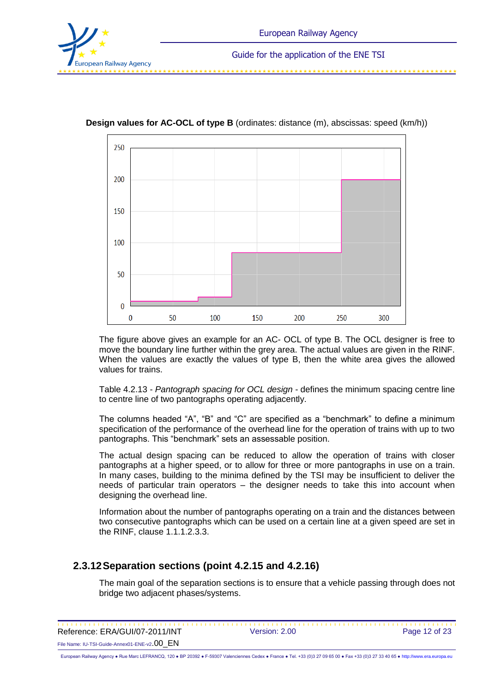



**Design values for AC-OCL of type B** (ordinates: distance (m), abscissas: speed (km/h))

The figure above gives an example for an AC- OCL of type B. The OCL designer is free to move the boundary line further within the grey area. The actual values are given in the RINF. When the values are exactly the values of type B, then the white area gives the allowed values for trains.

Table 4.2.13 - *Pantograph spacing for OCL design* - defines the minimum spacing centre line to centre line of two pantographs operating adjacently.

The columns headed "A", "B" and "C" are specified as a "benchmark" to define a minimum specification of the performance of the overhead line for the operation of trains with up to two pantographs. This "benchmark" sets an assessable position.

The actual design spacing can be reduced to allow the operation of trains with closer pantographs at a higher speed, or to allow for three or more pantographs in use on a train. In many cases, building to the minima defined by the TSI may be insufficient to deliver the needs of particular train operators – the designer needs to take this into account when designing the overhead line.

Information about the number of pantographs operating on a train and the distances between two consecutive pantographs which can be used on a certain line at a given speed are set in the RINF, clause 1.1.1.2.3.3.

#### **2.3.12Separation sections (point 4.2.15 and 4.2.16)**

The main goal of the separation sections is to ensure that a vehicle passing through does not bridge two adjacent phases/systems.

 Reference: ERA/GUI/07-2011/INT Version: 2.00 Page 12 of 23

File Name: IU-TSI-Guide-Annex01-ENE-v2.00\_EN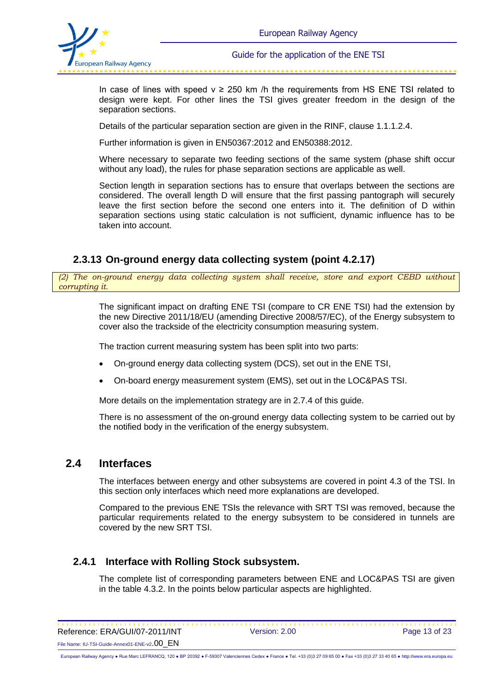

والمداول والمداول والمداول والمداول والمداول والمداول والمداول والمداول والمداول والمداول والمداول والمداول والمداول

In case of lines with speed  $y \ge 250$  km /h the requirements from HS ENE TSI related to design were kept. For other lines the TSI gives greater freedom in the design of the separation sections.

Details of the particular separation section are given in the RINF, clause 1.1.1.2.4.

Further information is given in EN50367:2012 and EN50388:2012.

Where necessary to separate two feeding sections of the same system (phase shift occur without any load), the rules for phase separation sections are applicable as well.

Section length in separation sections has to ensure that overlaps between the sections are considered. The overall length D will ensure that the first passing pantograph will securely leave the first section before the second one enters into it. The definition of D within separation sections using static calculation is not sufficient, dynamic influence has to be taken into account.

### **2.3.13 On-ground energy data collecting system (point 4.2.17)**

*(2) The on-ground energy data collecting system shall receive, store and export CEBD without corrupting it.*

> The significant impact on drafting ENE TSI (compare to CR ENE TSI) had the extension by the new Directive 2011/18/EU (amending Directive 2008/57/EC), of the Energy subsystem to cover also the trackside of the electricity consumption measuring system.

The traction current measuring system has been split into two parts:

- On-ground energy data collecting system (DCS), set out in the ENE TSI,
- On-board energy measurement system (EMS), set out in the LOC&PAS TSI.

More details on the implementation strategy are in 2.7.4 of this guide.

There is no assessment of the on-ground energy data collecting system to be carried out by the notified body in the verification of the energy subsystem.

#### **2.4 Interfaces**

The interfaces between energy and other subsystems are covered in point 4.3 of the TSI. In this section only interfaces which need more explanations are developed.

Compared to the previous ENE TSIs the relevance with SRT TSI was removed, because the particular requirements related to the energy subsystem to be considered in tunnels are covered by the new SRT TSI.

#### **2.4.1 Interface with Rolling Stock subsystem.**

The complete list of corresponding parameters between ENE and LOC&PAS TSI are given in the table 4.3.2. In the points below particular aspects are highlighted.

 Reference: ERA/GUI/07-2011/INT Version: 2.00 Page 13 of 23

File Name: IU-TSI-Guide-Annex01-ENE-v2.00\_EN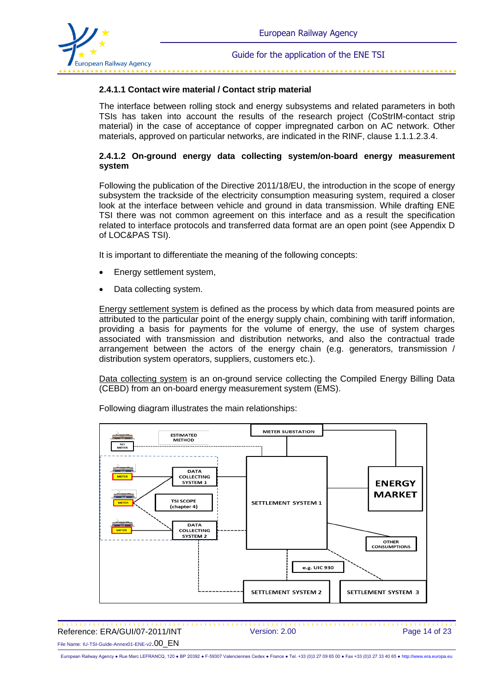

#### 

#### **2.4.1.1 Contact wire material / Contact strip material**

The interface between rolling stock and energy subsystems and related parameters in both TSIs has taken into account the results of the research project (CoStrIM-contact strip material) in the case of acceptance of copper impregnated carbon on AC network. Other materials, approved on particular networks, are indicated in the RINF, clause 1.1.1.2.3.4.

#### **2.4.1.2 On-ground energy data collecting system/on-board energy measurement system**

Following the publication of the Directive 2011/18/EU, the introduction in the scope of energy subsystem the trackside of the electricity consumption measuring system, required a closer look at the interface between vehicle and ground in data transmission. While drafting ENE TSI there was not common agreement on this interface and as a result the specification related to interface protocols and transferred data format are an open point (see Appendix D of LOC&PAS TSI).

It is important to differentiate the meaning of the following concepts:

- Energy settlement system,
- Data collecting system.

Energy settlement system is defined as the process by which data from measured points are attributed to the particular point of the energy supply chain, combining with tariff information, providing a basis for payments for the volume of energy, the use of system charges associated with transmission and distribution networks, and also the contractual trade arrangement between the actors of the energy chain (e.g. generators, transmission / distribution system operators, suppliers, customers etc.).

Data collecting system is an on-ground service collecting the Compiled Energy Billing Data (CEBD) from an on-board energy measurement system (EMS).



Following diagram illustrates the main relationships:

 Reference: ERA/GUI/07-2011/INT Version: 2.00 Page 14 of 23 File Name: IU-TSI-Guide-Annex01-ENE-v2.00\_EN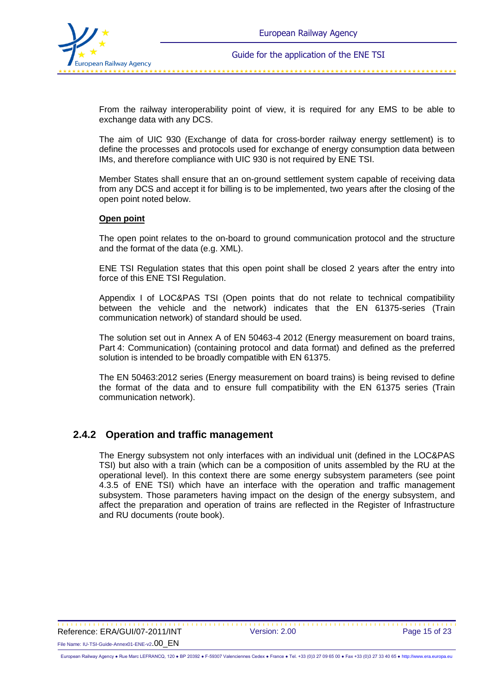

From the railway interoperability point of view, it is required for any EMS to be able to exchange data with any DCS.

The aim of UIC 930 (Exchange of data for cross-border railway energy settlement) is to define the processes and protocols used for exchange of energy consumption data between IMs, and therefore compliance with UIC 930 is not required by ENE TSI.

Member States shall ensure that an on-ground settlement system capable of receiving data from any DCS and accept it for billing is to be implemented, two years after the closing of the open point noted below.

#### **Open point**

The open point relates to the on-board to ground communication protocol and the structure and the format of the data (e.g. XML).

ENE TSI Regulation states that this open point shall be closed 2 years after the entry into force of this ENE TSI Regulation.

Appendix I of LOC&PAS TSI (Open points that do not relate to technical compatibility between the vehicle and the network) indicates that the EN 61375-series (Train communication network) of standard should be used.

The solution set out in Annex A of EN 50463-4 2012 (Energy measurement on board trains, Part 4: Communication) (containing protocol and data format) and defined as the preferred solution is intended to be broadly compatible with EN 61375.

The EN 50463:2012 series (Energy measurement on board trains) is being revised to define the format of the data and to ensure full compatibility with the EN 61375 series (Train communication network).

#### **2.4.2 Operation and traffic management**

The Energy subsystem not only interfaces with an individual unit (defined in the LOC&PAS TSI) but also with a train (which can be a composition of units assembled by the RU at the operational level). In this context there are some energy subsystem parameters (see point 4.3.5 of ENE TSI) which have an interface with the operation and traffic management subsystem. Those parameters having impact on the design of the energy subsystem, and affect the preparation and operation of trains are reflected in the Register of Infrastructure and RU documents (route book).

 Reference: ERA/GUI/07-2011/INT Version: 2.00 Page 15 of 23 File Name: IU-TSI-Guide-Annex01-ENE-v2.00\_EN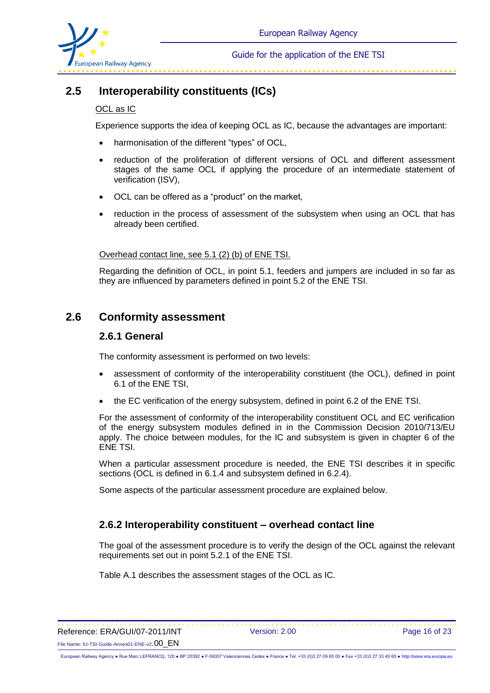

## **2.5 Interoperability constituents (ICs)**

#### OCL as IC

Experience supports the idea of keeping OCL as IC, because the advantages are important:

- harmonisation of the different "types" of OCL,
- reduction of the proliferation of different versions of OCL and different assessment stages of the same OCL if applying the procedure of an intermediate statement of verification (ISV),
- OCL can be offered as a "product" on the market,
- reduction in the process of assessment of the subsystem when using an OCL that has already been certified.

Overhead contact line, see 5.1 (2) (b) of ENE TSI.

Regarding the definition of OCL, in point 5.1, feeders and jumpers are included in so far as they are influenced by parameters defined in point 5.2 of the ENE TSI.

## **2.6 Conformity assessment**

#### **2.6.1 General**

The conformity assessment is performed on two levels:

- assessment of conformity of the interoperability constituent (the OCL), defined in point 6.1 of the ENE TSI,
- the EC verification of the energy subsystem, defined in point 6.2 of the ENE TSI.

For the assessment of conformity of the interoperability constituent OCL and EC verification of the energy subsystem modules defined in in the Commission Decision 2010/713/EU apply. The choice between modules, for the IC and subsystem is given in chapter 6 of the ENE TSI.

When a particular assessment procedure is needed, the ENE TSI describes it in specific sections (OCL is defined in 6.1.4 and subsystem defined in 6.2.4).

Some aspects of the particular assessment procedure are explained below.

#### **2.6.2 Interoperability constituent – overhead contact line**

The goal of the assessment procedure is to verify the design of the OCL against the relevant requirements set out in point 5.2.1 of the ENE TSI.

Table A.1 describes the assessment stages of the OCL as IC.

\*\*\*\*\*\*\*\*\*\*\*\*\*\*\*\*\*\*\*\*\*\*\*\* Reference: ERA/GUI/07-2011/INT Version: 2.00 Page 16 of 23 File Name: IU-TSI-Guide-Annex01-ENE-v2.00\_EN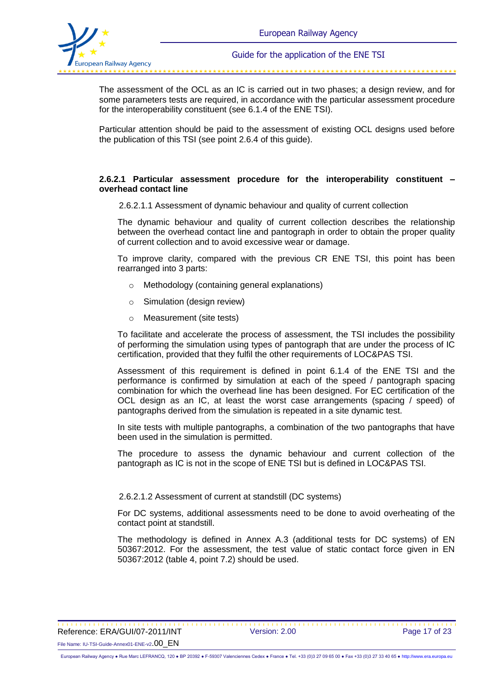

The assessment of the OCL as an IC is carried out in two phases; a design review, and for some parameters tests are required, in accordance with the particular assessment procedure for the interoperability constituent (see 6.1.4 of the ENE TSI).

Particular attention should be paid to the assessment of existing OCL designs used before the publication of this TSI (see point 2.6.4 of this guide).

#### **2.6.2.1 Particular assessment procedure for the interoperability constituent – overhead contact line**

2.6.2.1.1 Assessment of dynamic behaviour and quality of current collection

The dynamic behaviour and quality of current collection describes the relationship between the overhead contact line and pantograph in order to obtain the proper quality of current collection and to avoid excessive wear or damage.

To improve clarity, compared with the previous CR ENE TSI, this point has been rearranged into 3 parts:

- o Methodology (containing general explanations)
- o Simulation (design review)
- o Measurement (site tests)

To facilitate and accelerate the process of assessment, the TSI includes the possibility of performing the simulation using types of pantograph that are under the process of IC certification, provided that they fulfil the other requirements of LOC&PAS TSI.

Assessment of this requirement is defined in point 6.1.4 of the ENE TSI and the performance is confirmed by simulation at each of the speed / pantograph spacing combination for which the overhead line has been designed. For EC certification of the OCL design as an IC, at least the worst case arrangements (spacing / speed) of pantographs derived from the simulation is repeated in a site dynamic test.

In site tests with multiple pantographs, a combination of the two pantographs that have been used in the simulation is permitted.

The procedure to assess the dynamic behaviour and current collection of the pantograph as IC is not in the scope of ENE TSI but is defined in LOC&PAS TSI.

#### 2.6.2.1.2 Assessment of current at standstill (DC systems)

For DC systems, additional assessments need to be done to avoid overheating of the contact point at standstill.

The methodology is defined in Annex A.3 (additional tests for DC systems) of EN 50367:2012. For the assessment, the test value of static contact force given in EN 50367:2012 (table 4, point 7.2) should be used.

 Reference: ERA/GUI/07-2011/INT Version: 2.00 Page 17 of 23 File Name: IU-TSI-Guide-Annex01-ENE-v2.00\_EN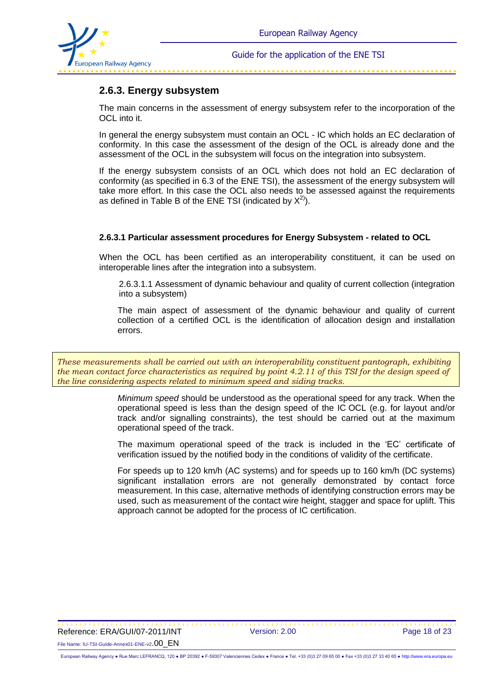

### **2.6.3. Energy subsystem**

The main concerns in the assessment of energy subsystem refer to the incorporation of the OCL into it.

In general the energy subsystem must contain an OCL - IC which holds an EC declaration of conformity. In this case the assessment of the design of the OCL is already done and the assessment of the OCL in the subsystem will focus on the integration into subsystem.

If the energy subsystem consists of an OCL which does not hold an EC declaration of conformity (as specified in 6.3 of the ENE TSI), the assessment of the energy subsystem will take more effort. In this case the OCL also needs to be assessed against the requirements as defined in Table B of the ENE TSI (indicated by  $X^{2}$ ).

#### **2.6.3.1 Particular assessment procedures for Energy Subsystem - related to OCL**

When the OCL has been certified as an interoperability constituent, it can be used on interoperable lines after the integration into a subsystem.

2.6.3.1.1 Assessment of dynamic behaviour and quality of current collection (integration into a subsystem)

The main aspect of assessment of the dynamic behaviour and quality of current collection of a certified OCL is the identification of allocation design and installation errors.

*These measurements shall be carried out with an interoperability constituent pantograph, exhibiting the mean contact force characteristics as required by point 4.2.11 of this TSI for the design speed of the line considering aspects related to minimum speed and siding tracks.*

> *Minimum speed* should be understood as the operational speed for any track. When the operational speed is less than the design speed of the IC OCL (e.g. for layout and/or track and/or signalling constraints), the test should be carried out at the maximum operational speed of the track.

> The maximum operational speed of the track is included in the 'EC' certificate of verification issued by the notified body in the conditions of validity of the certificate.

> For speeds up to 120 km/h (AC systems) and for speeds up to 160 km/h (DC systems) significant installation errors are not generally demonstrated by contact force measurement. In this case, alternative methods of identifying construction errors may be used, such as measurement of the contact wire height, stagger and space for uplift. This approach cannot be adopted for the process of IC certification.

 Reference: ERA/GUI/07-2011/INT Version: 2.00 Page 18 of 23 File Name: IU-TSI-Guide-Annex01-ENE-v2.00\_EN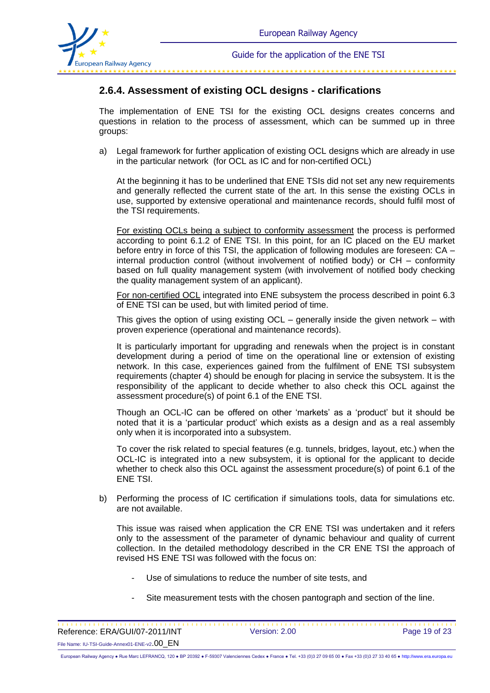

\*\*\*\*\*\*\*\*\*\*\*\*\*\*\*\*\*\*

### **2.6.4. Assessment of existing OCL designs - clarifications**

The implementation of ENE TSI for the existing OCL designs creates concerns and questions in relation to the process of assessment, which can be summed up in three groups:

a) Legal framework for further application of existing OCL designs which are already in use in the particular network (for OCL as IC and for non-certified OCL)

At the beginning it has to be underlined that ENE TSIs did not set any new requirements and generally reflected the current state of the art. In this sense the existing OCLs in use, supported by extensive operational and maintenance records, should fulfil most of the TSI requirements.

For existing OCLs being a subject to conformity assessment the process is performed according to point 6.1.2 of ENE TSI. In this point, for an IC placed on the EU market before entry in force of this TSI, the application of following modules are foreseen: CA – internal production control (without involvement of notified body) or CH – conformity based on full quality management system (with involvement of notified body checking the quality management system of an applicant).

 For non-certified OCL integrated into ENE subsystem the process described in point 6.3 of ENE TSI can be used, but with limited period of time.

This gives the option of using existing OCL – generally inside the given network – with proven experience (operational and maintenance records).

It is particularly important for upgrading and renewals when the project is in constant development during a period of time on the operational line or extension of existing network. In this case, experiences gained from the fulfilment of ENE TSI subsystem requirements (chapter 4) should be enough for placing in service the subsystem. It is the responsibility of the applicant to decide whether to also check this OCL against the assessment procedure(s) of point 6.1 of the ENE TSI.

Though an OCL-IC can be offered on other 'markets' as a 'product' but it should be noted that it is a 'particular product' which exists as a design and as a real assembly only when it is incorporated into a subsystem.

To cover the risk related to special features (e.g. tunnels, bridges, layout, etc.) when the OCL-IC is integrated into a new subsystem, it is optional for the applicant to decide whether to check also this OCL against the assessment procedure(s) of point 6.1 of the ENE TSI.

b) Performing the process of IC certification if simulations tools, data for simulations etc. are not available.

This issue was raised when application the CR ENE TSI was undertaken and it refers only to the assessment of the parameter of dynamic behaviour and quality of current collection. In the detailed methodology described in the CR ENE TSI the approach of revised HS ENE TSI was followed with the focus on:

- Use of simulations to reduce the number of site tests, and
- Site measurement tests with the chosen pantograph and section of the line.

| Reference: ERA/GUI/07-2011/INT                           | Version: 2.00 | Page 19 of 23 |
|----------------------------------------------------------|---------------|---------------|
| File Name: IU-TSI-Guide-Annex01-ENE-v2.00 $\,$ $\rm{EN}$ |               |               |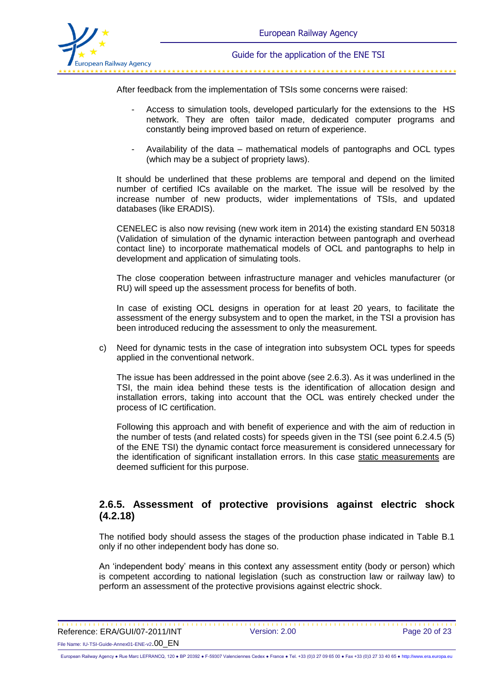

After feedback from the implementation of TSIs some concerns were raised:

- Access to simulation tools, developed particularly for the extensions to the HS network. They are often tailor made, dedicated computer programs and constantly being improved based on return of experience.
- Availability of the data mathematical models of pantographs and OCL types (which may be a subject of propriety laws).

It should be underlined that these problems are temporal and depend on the limited number of certified ICs available on the market. The issue will be resolved by the increase number of new products, wider implementations of TSIs, and updated databases (like ERADIS).

CENELEC is also now revising (new work item in 2014) the existing standard EN 50318 (Validation of simulation of the dynamic interaction between pantograph and overhead contact line) to incorporate mathematical models of OCL and pantographs to help in development and application of simulating tools.

The close cooperation between infrastructure manager and vehicles manufacturer (or RU) will speed up the assessment process for benefits of both.

In case of existing OCL designs in operation for at least 20 years, to facilitate the assessment of the energy subsystem and to open the market, in the TSI a provision has been introduced reducing the assessment to only the measurement.

c) Need for dynamic tests in the case of integration into subsystem OCL types for speeds applied in the conventional network.

The issue has been addressed in the point above (see 2.6.3). As it was underlined in the TSI, the main idea behind these tests is the identification of allocation design and installation errors, taking into account that the OCL was entirely checked under the process of IC certification.

Following this approach and with benefit of experience and with the aim of reduction in the number of tests (and related costs) for speeds given in the TSI (see point 6.2.4.5 (5) of the ENE TSI) the dynamic contact force measurement is considered unnecessary for the identification of significant installation errors. In this case static measurements are deemed sufficient for this purpose.

#### **2.6.5. Assessment of protective provisions against electric shock (4.2.18)**

The notified body should assess the stages of the production phase indicated in Table B.1 only if no other independent body has done so.

An 'independent body' means in this context any assessment entity (body or person) which is competent according to national legislation (such as construction law or railway law) to perform an assessment of the protective provisions against electric shock.

\*\*\*\*\*\*\*\*\*\*\*\*\*\*\*\*\*\*\*\*\*\*\*\* Reference: ERA/GUI/07-2011/INT Version: 2.00 Page 20 of 23 File Name: IU-TSI-Guide-Annex01-ENE-v2.00\_EN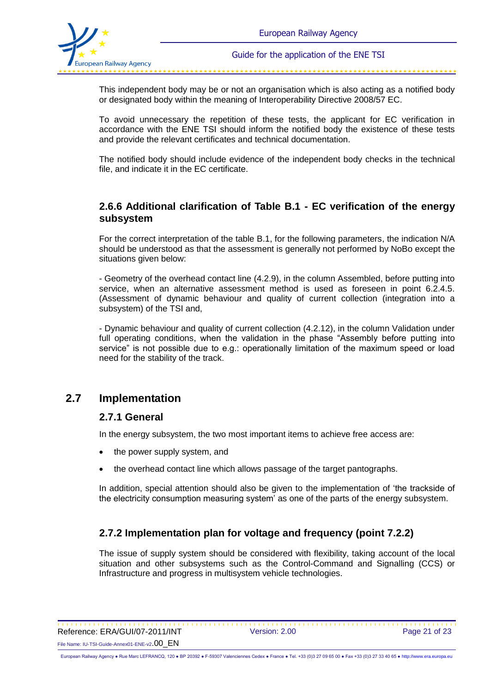

This independent body may be or not an organisation which is also acting as a notified body or designated body within the meaning of Interoperability Directive 2008/57 EC.

To avoid unnecessary the repetition of these tests, the applicant for EC verification in accordance with the ENE TSI should inform the notified body the existence of these tests and provide the relevant certificates and technical documentation.

The notified body should include evidence of the independent body checks in the technical file, and indicate it in the EC certificate.

#### **2.6.6 Additional clarification of Table B.1 - EC verification of the energy subsystem**

For the correct interpretation of the table B.1, for the following parameters, the indication N/A should be understood as that the assessment is generally not performed by NoBo except the situations given below:

- Geometry of the overhead contact line (4.2.9), in the column Assembled, before putting into service, when an alternative assessment method is used as foreseen in point 6.2.4.5. (Assessment of dynamic behaviour and quality of current collection (integration into a subsystem) of the TSI and,

- Dynamic behaviour and quality of current collection (4.2.12), in the column Validation under full operating conditions, when the validation in the phase "Assembly before putting into service" is not possible due to e.g.: operationally limitation of the maximum speed or load need for the stability of the track.

## **2.7 Implementation**

#### **2.7.1 General**

In the energy subsystem, the two most important items to achieve free access are:

- the power supply system, and
- the overhead contact line which allows passage of the target pantographs.

In addition, special attention should also be given to the implementation of 'the trackside of the electricity consumption measuring system' as one of the parts of the energy subsystem.

### **2.7.2 Implementation plan for voltage and frequency (point 7.2.2)**

The issue of supply system should be considered with flexibility, taking account of the local situation and other subsystems such as the Control-Command and Signalling (CCS) or Infrastructure and progress in multisystem vehicle technologies.

Reference: ERA/GUI/07-2011/INT Version: 2.00 Page 21 of 23 File Name: IU-TSI-Guide-Annex01-ENE-v2.00\_EN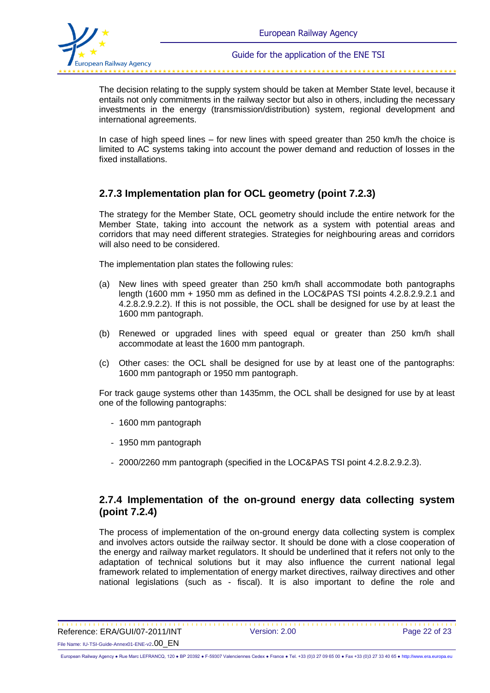

The decision relating to the supply system should be taken at Member State level, because it entails not only commitments in the railway sector but also in others, including the necessary investments in the energy (transmission/distribution) system, regional development and international agreements.

In case of high speed lines – for new lines with speed greater than 250 km/h the choice is limited to AC systems taking into account the power demand and reduction of losses in the fixed installations.

### **2.7.3 Implementation plan for OCL geometry (point 7.2.3)**

The strategy for the Member State, OCL geometry should include the entire network for the Member State, taking into account the network as a system with potential areas and corridors that may need different strategies. Strategies for neighbouring areas and corridors will also need to be considered.

The implementation plan states the following rules:

- (a) New lines with speed greater than 250 km/h shall accommodate both pantographs length (1600 mm + 1950 mm as defined in the LOC&PAS TSI points 4.2.8.2.9.2.1 and 4.2.8.2.9.2.2). If this is not possible, the OCL shall be designed for use by at least the 1600 mm pantograph.
- (b) Renewed or upgraded lines with speed equal or greater than 250 km/h shall accommodate at least the 1600 mm pantograph.
- (c) Other cases: the OCL shall be designed for use by at least one of the pantographs: 1600 mm pantograph or 1950 mm pantograph.

For track gauge systems other than 1435mm, the OCL shall be designed for use by at least one of the following pantographs:

- 1600 mm pantograph
- 1950 mm pantograph
- 2000/2260 mm pantograph (specified in the LOC&PAS TSI point 4.2.8.2.9.2.3).

#### **2.7.4 Implementation of the on-ground energy data collecting system (point 7.2.4)**

The process of implementation of the on-ground energy data collecting system is complex and involves actors outside the railway sector. It should be done with a close cooperation of the energy and railway market regulators. It should be underlined that it refers not only to the adaptation of technical solutions but it may also influence the current national legal framework related to implementation of energy market directives, railway directives and other national legislations (such as - fiscal). It is also important to define the role and

 Reference: ERA/GUI/07-2011/INT Version: 2.00 Page 22 of 23 File Name: IU-TSI-Guide-Annex01-ENE-v2.00\_EN